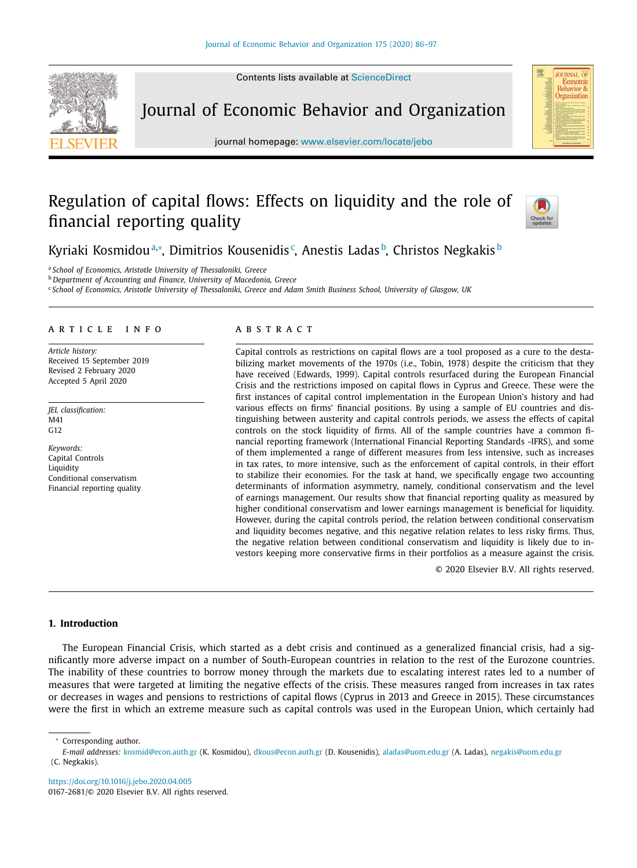Contents lists available at [ScienceDirect](http://www.ScienceDirect.com)



Journal of Economic Behavior and Organization

journal homepage: [www.elsevier.com/locate/jebo](http://www.elsevier.com/locate/jebo)

# Regulation of capital flows: Effects on liquidity and the role of financial reporting quality



**JOURNAL O** Economic Behavior & Organization

Kyriaki Kosmidouª,\*, Dimitrios Kousenidis¢, Anestis Ladasʰ, Christos Negkakisʰ

<sup>a</sup> *School of Economics, Aristotle University of Thessaloniki, Greece*

<sup>b</sup> *Department of Accounting and Finance, University of Macedonia, Greece*

<sup>c</sup> School of Economics, Aristotle University of Thessaloniki, Greece and Adam Smith Business School, University of Glasgow, UK

### a r t i c l e i n f o

*Article history:* Received 15 September 2019 Revised 2 February 2020 Accepted 5 April 2020

*JEL classification:* M41 G12

*Keywords:* Capital Controls **Liquidity** Conditional conservatism Financial reporting quality

# a b s t r a c t

Capital controls as restrictions on capital flows are a tool proposed as a cure to the destabilizing market movements of the 1970s (i.e., Tobin, 1978) despite the criticism that they have received (Edwards, 1999). Capital controls resurfaced during the European Financial Crisis and the restrictions imposed on capital flows in Cyprus and Greece. These were the first instances of capital control implementation in the European Union's history and had various effects on firms' financial positions. By using a sample of EU countries and distinguishing between austerity and capital controls periods, we assess the effects of capital controls on the stock liquidity of firms. All of the sample countries have a common financial reporting framework (International Financial Reporting Standards -IFRS), and some of them implemented a range of different measures from less intensive, such as increases in tax rates, to more intensive, such as the enforcement of capital controls, in their effort to stabilize their economies. For the task at hand, we specifically engage two accounting determinants of information asymmetry, namely, conditional conservatism and the level of earnings management. Our results show that financial reporting quality as measured by higher conditional conservatism and lower earnings management is beneficial for liquidity. However, during the capital controls period, the relation between conditional conservatism and liquidity becomes negative, and this negative relation relates to less risky firms. Thus, the negative relation between conditional conservatism and liquidity is likely due to investors keeping more conservative firms in their portfolios as a measure against the crisis.

© 2020 Elsevier B.V. All rights reserved.

# **1. Introduction**

The European Financial Crisis, which started as a debt crisis and continued as a generalized financial crisis, had a significantly more adverse impact on a number of South-European countries in relation to the rest of the Eurozone countries. The inability of these countries to borrow money through the markets due to escalating interest rates led to a number of measures that were targeted at limiting the negative effects of the crisis. These measures ranged from increases in tax rates or decreases in wages and pensions to restrictions of capital flows (Cyprus in 2013 and Greece in 2015). These circumstances were the first in which an extreme measure such as capital controls was used in the European Union, which certainly had

*E-mail addresses:* [kosmid@econ.auth.gr](mailto:kosmid@econ.auth.gr) (K. Kosmidou), [dkous@econ.auth.gr](mailto:dkous@econ.auth.gr) (D. Kousenidis), [aladas@uom.edu.gr](mailto:aladas@uom.edu.gr) (A. Ladas), negakis@uom.edu.gr (C. Negkakis).

<https://doi.org/10.1016/j.jebo.2020.04.005> 0167-2681/© 2020 Elsevier B.V. All rights reserved.

Corresponding author.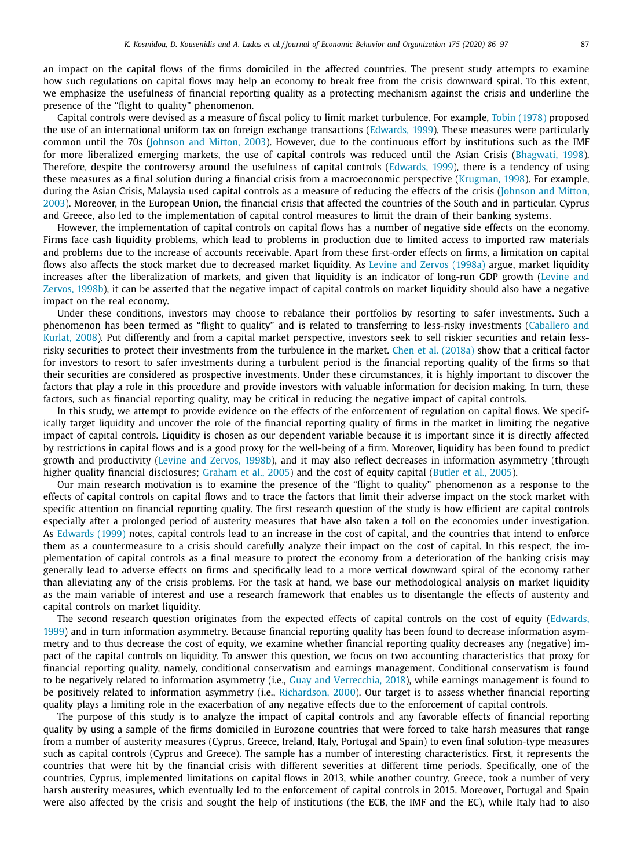an impact on the capital flows of the firms domiciled in the affected countries. The present study attempts to examine how such regulations on capital flows may help an economy to break free from the crisis downward spiral. To this extent, we emphasize the usefulness of financial reporting quality as a protecting mechanism against the crisis and underline the presence of the "flight to quality" phenomenon.

Capital controls were devised as a measure of fiscal policy to limit market turbulence. For example, Tobin [\(1978\)](#page-11-0) proposed the use of an international uniform tax on foreign exchange transactions [\(Edwards,](#page-10-0) 1999). These measures were particularly common until the 70s [\(Johnson](#page-10-0) and Mitton, 2003). However, due to the continuous effort by institutions such as the IMF for more liberalized emerging markets, the use of capital controls was reduced until the Asian Crisis [\(Bhagwati,](#page-10-0) 1998). Therefore, despite the controversy around the usefulness of capital controls [\(Edwards,](#page-10-0) 1999), there is a tendency of using these measures as a final solution during a financial crisis from a macroeconomic perspective [\(Krugman,](#page-11-0) 1998). For example, during the Asian Crisis, Malaysia used capital controls as a measure of reducing the effects of the crisis (Johnson and Mitton, 2003). Moreover, in the European Union, the financial crisis that affected the countries of the South and in [particular,](#page-10-0) Cyprus and Greece, also led to the implementation of capital control measures to limit the drain of their banking systems.

However, the implementation of capital controls on capital flows has a number of negative side effects on the economy. Firms face cash liquidity problems, which lead to problems in production due to limited access to imported raw materials and problems due to the increase of accounts receivable. Apart from these first-order effects on firms, a limitation on capital flows also affects the stock market due to decreased market liquidity. As Levine and Zervos [\(1998a\)](#page-11-0) argue, market liquidity increases after the [liberalization](#page-11-0) of markets, and given that liquidity is an indicator of long-run GDP growth (Levine and Zervos, 1998b), it can be asserted that the negative impact of capital controls on market liquidity should also have a negative impact on the real economy.

Under these conditions, investors may choose to rebalance their portfolios by resorting to safer investments. Such a [phenomenon](#page-10-0) has been termed as "flight to quality" and is related to transferring to less-risky investments (Caballero and Kurlat, 2008). Put differently and from a capital market perspective, investors seek to sell riskier securities and retain lessrisky securities to protect their investments from the turbulence in the market. Chen et al. [\(2018a\)](#page-10-0) show that a critical factor for investors to resort to safer investments during a turbulent period is the financial reporting quality of the firms so that their securities are considered as prospective investments. Under these circumstances, it is highly important to discover the factors that play a role in this procedure and provide investors with valuable information for decision making. In turn, these factors, such as financial reporting quality, may be critical in reducing the negative impact of capital controls.

In this study, we attempt to provide evidence on the effects of the enforcement of regulation on capital flows. We specifically target liquidity and uncover the role of the financial reporting quality of firms in the market in limiting the negative impact of capital controls. Liquidity is chosen as our dependent variable because it is important since it is directly affected by restrictions in capital flows and is a good proxy for the well-being of a firm. Moreover, liquidity has been found to predict growth and productivity (Levine and [Zervos,](#page-11-0) 1998b), and it may also reflect decreases in information asymmetry (through higher quality financial disclosures; [Graham](#page-10-0) et al., 2005) and the cost of equity capital [\(Butler](#page-10-0) et al., 2005).

Our main research motivation is to examine the presence of the "flight to quality" phenomenon as a response to the effects of capital controls on capital flows and to trace the factors that limit their adverse impact on the stock market with specific attention on financial reporting quality. The first research question of the study is how efficient are capital controls especially after a prolonged period of austerity measures that have also taken a toll on the economies under investigation. As [Edwards](#page-10-0) (1999) notes, capital controls lead to an increase in the cost of capital, and the countries that intend to enforce them as a countermeasure to a crisis should carefully analyze their impact on the cost of capital. In this respect, the implementation of capital controls as a final measure to protect the economy from a deterioration of the banking crisis may generally lead to adverse effects on firms and specifically lead to a more vertical downward spiral of the economy rather than alleviating any of the crisis problems. For the task at hand, we base our methodological analysis on market liquidity as the main variable of interest and use a research framework that enables us to disentangle the effects of austerity and capital controls on market liquidity.

The second research question originates from the expected effects of capital controls on the cost of equity (Edwards, 1999) and in turn information asymmetry. Because financial reporting quality has been found to decrease [information](#page-10-0) asymmetry and to thus decrease the cost of equity, we examine whether financial reporting quality decreases any (negative) impact of the capital controls on liquidity. To answer this question, we focus on two accounting characteristics that proxy for financial reporting quality, namely, conditional conservatism and earnings management. Conditional conservatism is found to be negatively related to information asymmetry (i.e., Guay and [Verrecchia,](#page-10-0) 2018), while earnings management is found to be positively related to information asymmetry (i.e., [Richardson,](#page-11-0) 2000). Our target is to assess whether financial reporting quality plays a limiting role in the exacerbation of any negative effects due to the enforcement of capital controls.

The purpose of this study is to analyze the impact of capital controls and any favorable effects of financial reporting quality by using a sample of the firms domiciled in Eurozone countries that were forced to take harsh measures that range from a number of austerity measures (Cyprus, Greece, Ireland, Italy, Portugal and Spain) to even final solution-type measures such as capital controls (Cyprus and Greece). The sample has a number of interesting characteristics. First, it represents the countries that were hit by the financial crisis with different severities at different time periods. Specifically, one of the countries, Cyprus, implemented limitations on capital flows in 2013, while another country, Greece, took a number of very harsh austerity measures, which eventually led to the enforcement of capital controls in 2015. Moreover, Portugal and Spain were also affected by the crisis and sought the help of institutions (the ECB, the IMF and the EC), while Italy had to also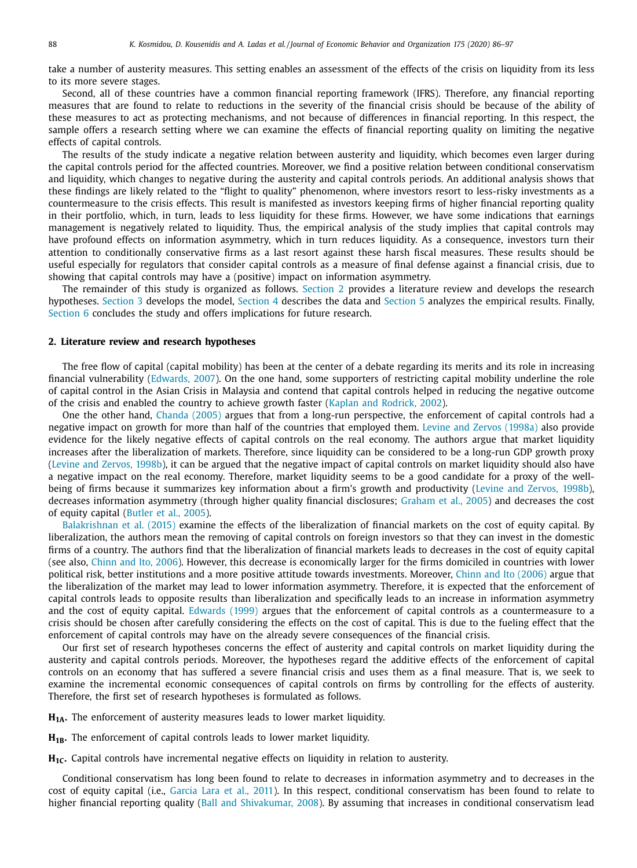<span id="page-2-0"></span>take a number of austerity measures. This setting enables an assessment of the effects of the crisis on liquidity from its less to its more severe stages.

Second, all of these countries have a common financial reporting framework (IFRS). Therefore, any financial reporting measures that are found to relate to reductions in the severity of the financial crisis should be because of the ability of these measures to act as protecting mechanisms, and not because of differences in financial reporting. In this respect, the sample offers a research setting where we can examine the effects of financial reporting quality on limiting the negative effects of capital controls.

The results of the study indicate a negative relation between austerity and liquidity, which becomes even larger during the capital controls period for the affected countries. Moreover, we find a positive relation between conditional conservatism and liquidity, which changes to negative during the austerity and capital controls periods. An additional analysis shows that these findings are likely related to the "flight to quality" phenomenon, where investors resort to less-risky investments as a countermeasure to the crisis effects. This result is manifested as investors keeping firms of higher financial reporting quality in their portfolio, which, in turn, leads to less liquidity for these firms. However, we have some indications that earnings management is negatively related to liquidity. Thus, the empirical analysis of the study implies that capital controls may have profound effects on information asymmetry, which in turn reduces liquidity. As a consequence, investors turn their attention to conditionally conservative firms as a last resort against these harsh fiscal measures. These results should be useful especially for regulators that consider capital controls as a measure of final defense against a financial crisis, due to showing that capital controls may have a (positive) impact on information asymmetry.

The remainder of this study is organized as follows. Section 2 provides a literature review and develops the research hypotheses. [Section](#page-3-0) 3 develops the model, [Section](#page-4-0) 4 describes the data and [Section](#page-6-0) 5 analyzes the empirical results. Finally, [Section](#page-9-0) 6 concludes the study and offers implications for future research.

#### **2. Literature review and research hypotheses**

The free flow of capital (capital mobility) has been at the center of a debate regarding its merits and its role in increasing financial vulnerability [\(Edwards,](#page-10-0) 2007). On the one hand, some supporters of restricting capital mobility underline the role of capital control in the Asian Crisis in Malaysia and contend that capital controls helped in reducing the negative outcome of the crisis and enabled the country to achieve growth faster (Kaplan and [Rodrick,](#page-10-0) 2002).

One the other hand, [Chanda](#page-10-0) (2005) argues that from a long-run perspective, the enforcement of capital controls had a negative impact on growth for more than half of the countries that employed them. Levine and Zervos [\(1998a\)](#page-11-0) also provide evidence for the likely negative effects of capital controls on the real economy. The authors argue that market liquidity increases after the liberalization of markets. Therefore, since liquidity can be considered to be a long-run GDP growth proxy (Levine and [Zervos,](#page-11-0) 1998b), it can be argued that the negative impact of capital controls on market liquidity should also have a negative impact on the real economy. Therefore, market liquidity seems to be a good candidate for a proxy of the wellbeing of firms because it summarizes key information about a firm's growth and productivity (Levine and [Zervos,](#page-11-0) 1998b), decreases information asymmetry (through higher quality financial disclosures; [Graham](#page-10-0) et al., 2005) and decreases the cost of equity capital [\(Butler](#page-10-0) et al., 2005).

[Balakrishnan](#page-10-0) et al. (2015) examine the effects of the liberalization of financial markets on the cost of equity capital. By liberalization, the authors mean the removing of capital controls on foreign investors so that they can invest in the domestic firms of a country. The authors find that the liberalization of financial markets leads to decreases in the cost of equity capital (see also, [Chinn](#page-10-0) and Ito, 2006). However, this decrease is economically larger for the firms domiciled in countries with lower political risk, better institutions and a more positive attitude towards investments. Moreover, Chinn and Ito [\(2006\)](#page-10-0) argue that the liberalization of the market may lead to lower information asymmetry. Therefore, it is expected that the enforcement of capital controls leads to opposite results than liberalization and specifically leads to an increase in information asymmetry and the cost of equity capital. [Edwards](#page-10-0) (1999) argues that the enforcement of capital controls as a countermeasure to a crisis should be chosen after carefully considering the effects on the cost of capital. This is due to the fueling effect that the enforcement of capital controls may have on the already severe consequences of the financial crisis.

Our first set of research hypotheses concerns the effect of austerity and capital controls on market liquidity during the austerity and capital controls periods. Moreover, the hypotheses regard the additive effects of the enforcement of capital controls on an economy that has suffered a severe financial crisis and uses them as a final measure. That is, we seek to examine the incremental economic consequences of capital controls on firms by controlling for the effects of austerity. Therefore, the first set of research hypotheses is formulated as follows.

**H<sub>1A</sub>.** The enforcement of austerity measures leads to lower market liquidity.

H<sub>1B</sub>. The enforcement of capital controls leads to lower market liquidity.

**H1C.** Capital controls have incremental negative effects on liquidity in relation to austerity.

Conditional conservatism has long been found to relate to decreases in information asymmetry and to decreases in the cost of equity capital (i.e., [Garcia](#page-10-0) Lara et al., 2011). In this respect, conditional conservatism has been found to relate to higher financial reporting quality (Ball and [Shivakumar,](#page-10-0) 2008). By assuming that increases in conditional conservatism lead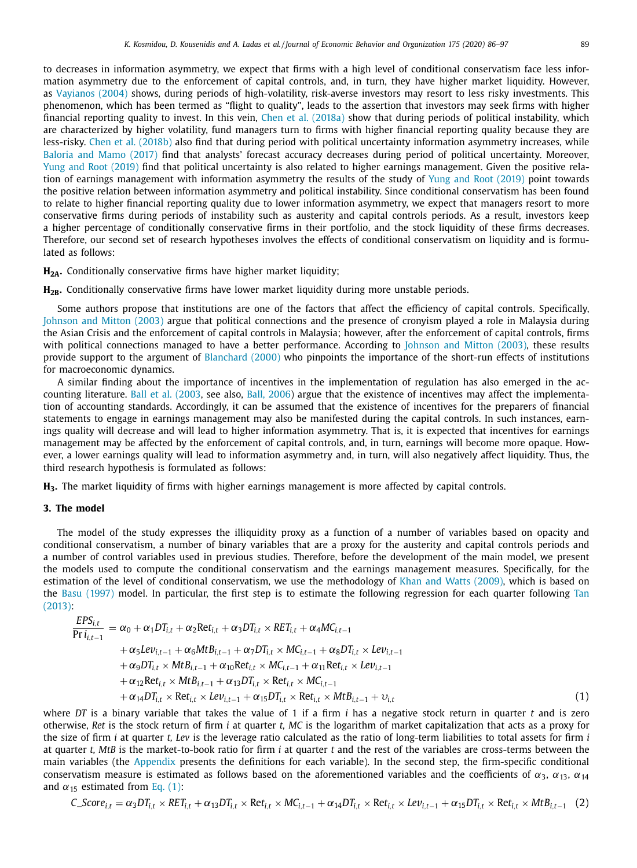<span id="page-3-0"></span>to decreases in information asymmetry, we expect that firms with a high level of conditional conservatism face less information asymmetry due to the enforcement of capital controls, and, in turn, they have higher market liquidity. However, as [Vayianos](#page-11-0) (2004) shows, during periods of high-volatility, risk-averse investors may resort to less risky investments. This phenomenon, which has been termed as "flight to quality", leads to the assertion that investors may seek firms with higher financial reporting quality to invest. In this vein, Chen et al. [\(2018a\)](#page-10-0) show that during periods of political instability, which are characterized by higher volatility, fund managers turn to firms with higher financial reporting quality because they are less-risky. Chen et al. [\(2018b\)](#page-10-0) also find that during period with political uncertainty information asymmetry increases, while [Baloria](#page-10-0) and Mamo (2017) find that analysts' forecast accuracy decreases during period of political uncertainty. Moreover, Yung and Root [\(2019\)](#page-11-0) find that political uncertainty is also related to higher earnings management. Given the positive relation of earnings management with information asymmetry the results of the study of Yung and Root [\(2019\)](#page-11-0) point towards the positive relation between information asymmetry and political instability. Since conditional conservatism has been found to relate to higher financial reporting quality due to lower information asymmetry, we expect that managers resort to more conservative firms during periods of instability such as austerity and capital controls periods. As a result, investors keep a higher percentage of conditionally conservative firms in their portfolio, and the stock liquidity of these firms decreases. Therefore, our second set of research hypotheses involves the effects of conditional conservatism on liquidity and is formulated as follows:

**H2A.** Conditionally conservative firms have higher market liquidity;

H<sub>2B</sub>. Conditionally conservative firms have lower market liquidity during more unstable periods.

Some authors propose that institutions are one of the factors that affect the efficiency of capital controls. Specifically, [Johnson](#page-10-0) and Mitton (2003) argue that political connections and the presence of cronyism played a role in Malaysia during the Asian Crisis and the enforcement of capital controls in Malaysia; however, after the enforcement of capital controls, firms with political connections managed to have a better performance. According to [Johnson](#page-10-0) and Mitton (2003), these results provide support to the argument of [Blanchard](#page-10-0) (2000) who pinpoints the importance of the short-run effects of institutions for macroeconomic dynamics.

A similar finding about the importance of incentives in the implementation of regulation has also emerged in the accounting literature. Ball et al. [\(2003,](#page-10-0) see also, Ball, [2006\)](#page-10-0) argue that the existence of incentives may affect the implementation of accounting standards. Accordingly, it can be assumed that the existence of incentives for the preparers of financial statements to engage in earnings management may also be manifested during the capital controls. In such instances, earnings quality will decrease and will lead to higher information asymmetry. That is, it is expected that incentives for earnings management may be affected by the enforcement of capital controls, and, in turn, earnings will become more opaque. However, a lower earnings quality will lead to information asymmetry and, in turn, will also negatively affect liquidity. Thus, the third research hypothesis is formulated as follows:

**H3.** The market liquidity of firms with higher earnings management is more affected by capital controls.

# **3. The model**

The model of the study expresses the illiquidity proxy as a function of a number of variables based on opacity and conditional conservatism, a number of binary variables that are a proxy for the austerity and capital controls periods and a number of control variables used in previous studies. Therefore, before the development of the main model, we present the models used to compute the conditional conservatism and the earnings management measures. Specifically, for the estimation of the level of conditional conservatism, we use the methodology of Khan and Watts [\(2009\),](#page-10-0) which is based on the Basu [\(1997\)](#page-10-0) model. In particular, the first step is to estimate the following [regression](#page-11-0) for each quarter following Tan (2013):

$$
\frac{EPS_{i,t}}{\Pr i_{i,t-1}} = \alpha_0 + \alpha_1 DT_{i,t} + \alpha_2 Ret_{i,t} + \alpha_3 DT_{i,t} \times RET_{i,t} + \alpha_4 MC_{i,t-1} \n+ \alpha_5 Lev_{i,t-1} + \alpha_6 MtB_{i,t-1} + \alpha_7 DT_{i,t} \times MC_{i,t-1} + \alpha_8 DT_{i,t} \times Lev_{i,t-1} \n+ \alpha_9 DT_{i,t} \times MtB_{i,t-1} + \alpha_{10} Ret_{i,t} \times MC_{i,t-1} + \alpha_{11}Ret_{i,t} \times Lev_{i,t-1} \n+ \alpha_{12}Ret_{i,t} \times MtB_{i,t-1} + \alpha_{13}DT_{i,t} \times Ret_{i,t} \times MC_{i,t-1} \n+ \alpha_{14}DT_{i,t} \times Ret_{i,t} \times Lev_{i,t-1} + \alpha_{15}DT_{i,t} \times Ret_{i,t} \times MtB_{i,t-1} + v_{i,t}
$$
\n(1)

where *DT* is a binary variable that takes the value of 1 if a firm *i* has a negative stock return in quarter *t* and is zero otherwise, *Ret* is the stock return of firm *i* at quarter *t, MC* is the logarithm of market capitalization that acts as a proxy for the size of firm *i* at quarter *t, Lev* is the leverage ratio calculated as the ratio of long-term liabilities to total assets for firm *i* at quarter *t, MtB* is the market-to-book ratio for firm *i* at quarter *t* and the rest of the variables are cross-terms between the main variables (the [Appendix](#page-10-0) presents the definitions for each variable). In the second step, the firm-specific conditional conservatism measure is estimated as follows based on the aforementioned variables and the coefficients of  $\alpha_3$ ,  $\alpha_{13}$ ,  $\alpha_{14}$ and  $\alpha_{15}$  estimated from Eq. (1):

$$
C\_Score_{i,t} = \alpha_3 DT_{i,t} \times RET_{i,t} + \alpha_{13} DT_{i,t} \times Ret_{i,t} \times MC_{i,t-1} + \alpha_{14} DT_{i,t} \times Ret_{i,t} \times Lev_{i,t-1} + \alpha_{15} DT_{i,t} \times Ret_{i,t} \times MtB_{i,t-1}
$$
 (2)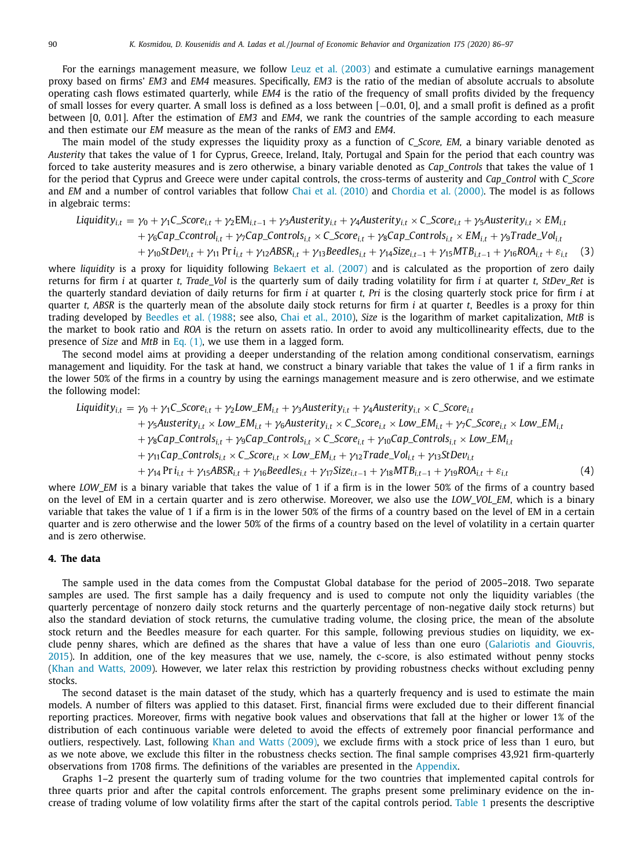<span id="page-4-0"></span>For the earnings management measure, we follow Leuz et al. [\(2003\)](#page-11-0) and estimate a cumulative earnings management proxy based on firms' *EM3* and *EM4* measures. Specifically, *EM3* is the ratio of the median of absolute accruals to absolute operating cash flows estimated quarterly, while *EM4* is the ratio of the frequency of small profits divided by the frequency of small losses for every quarter. A small loss is defined as a loss between [−0.01, 0], and a small profit is defined as a profit between [0, 0.01]. After the estimation of *EM3* and *EM4*, we rank the countries of the sample according to each measure and then estimate our *EM* measure as the mean of the ranks of *EM3* and *EM4*.

The main model of the study expresses the liquidity proxy as a function of *C\_Score, EM,* a binary variable denoted as *Austerity* that takes the value of 1 for Cyprus, Greece, Ireland, Italy, Portugal and Spain for the period that each country was forced to take austerity measures and is zero otherwise, a binary variable denoted as *Cap\_Controls* that takes the value of 1 for the period that Cyprus and Greece were under capital controls, the cross-terms of austerity and *Cap\_Control* with *C\_Score* and *EM* and a number of control variables that follow Chai et al. [\(2010\)](#page-10-0) and [Chordia](#page-10-0) et al. (2000). The model is as follows in algebraic terms:

$$
Lightity_{i,t} = \gamma_0 + \gamma_1 C\_Score_{i,t} + \gamma_2 EM_{i,t-1} + \gamma_3 Austerity_{i,t} + \gamma_4 Austerity_{i,t} \times C\_Score_{i,t} + \gamma_5 Austerity_{i,t} \times EM_{i,t} + \gamma_6 Cap\_Control_{i,t} + \gamma_7 Cap\_Control_{i,t} \times C\_Score_{i,t} + \gamma_8 Cap\_Control_{i,t} \times EM_{i,t} + \gamma_9 Trade\_Vol_{i,t} + \gamma_{10} StDev_{i,t} + \gamma_{11} Pri_{i,t} + \gamma_{12} ABSR_{i,t} + \gamma_{13} Beedles_{i,t} + \gamma_{14} Size_{i,t-1} + \gamma_{15} MTB_{i,t-1} + \gamma_{16} ROA_{i,t} + \varepsilon_{i,t}
$$
(3)

where *liquidity* is a proxy for liquidity following [Bekaert](#page-10-0) et al. (2007) and is calculated as the proportion of zero daily returns for firm *i* at quarter *t, Trade\_Vol* is the quarterly sum of daily trading volatility for firm *i* at quarter *t, StDev\_Ret* is the quarterly standard deviation of daily returns for firm *i* at quarter *t, Pri* is the closing quarterly stock price for firm *i* at quarter *t, ABSR* is the quarterly mean of the absolute daily stock returns for firm *i* at quarter *t*, Beedles is a proxy for thin trading developed by [Beedles](#page-10-0) et al. (1988; see also, Chai et al., [2010\)](#page-10-0), *Size* is the logarithm of market capitalization, *MtB* is the market to book ratio and *ROA* is the return on assets ratio. In order to avoid any multicollinearity effects, due to the presence of *Size* and *MtB* in Eq. [\(1\),](#page-3-0) we use them in a lagged form.

The second model aims at providing a deeper understanding of the relation among conditional conservatism, earnings management and liquidity. For the task at hand, we construct a binary variable that takes the value of 1 if a firm ranks in the lower 50% of the firms in a country by using the earnings management measure and is zero otherwise, and we estimate the following model:

$$
Lightity_{i,t} = \gamma_0 + \gamma_1 C\_Score_{i,t} + \gamma_2 Low\_EM_{i,t} + \gamma_3 Austerity_{i,t} + \gamma_4 Austerity_{i,t} \times C\_Score_{i,t} + \gamma_5 Austerity_{i,t} \times Low\_EM_{i,t} + \gamma_6 Austerity_{i,t} \times C\_Score_{i,t} \times Low\_EM_{i,t} + \gamma_7 C\_Score_{i,t} \times Low\_EM_{i,t} + \gamma_8 Cap\_Controls_{i,t} + \gamma_9 Cap\_Controls_{i,t} \times C\_Score_{i,t} + \gamma_{10} Cap\_Controls_{i,t} \times Low\_EM_{i,t} + \gamma_{11} Cap\_Controls_{i,t} \times C\_Score_{i,t} \times Low\_EM_{i,t} + \gamma_{12} Trade\_Vol_{i,t} + \gamma_{13} StDev_{i,t} + \gamma_{14} Pri_{i,t} + \gamma_{15} ABSR_{i,t} + \gamma_{16} Beedles_{i,t} + \gamma_{17} Size_{i,t-1} + \gamma_{18} MTB_{i,t-1} + \gamma_{19} ROA_{i,t} + \varepsilon_{i,t}
$$
\n(4)

where *LOW\_EM* is a binary variable that takes the value of 1 if a firm is in the lower 50% of the firms of a country based on the level of EM in a certain quarter and is zero otherwise. Moreover, we also use the *LOW\_VOL\_EM*, which is a binary variable that takes the value of 1 if a firm is in the lower 50% of the firms of a country based on the level of EM in a certain quarter and is zero otherwise and the lower 50% of the firms of a country based on the level of volatility in a certain quarter and is zero otherwise.

#### **4. The data**

The sample used in the data comes from the Compustat Global database for the period of 2005–2018. Two separate samples are used. The first sample has a daily frequency and is used to compute not only the liquidity variables (the quarterly percentage of nonzero daily stock returns and the quarterly percentage of non-negative daily stock returns) but also the standard deviation of stock returns, the cumulative trading volume, the closing price, the mean of the absolute stock return and the Beedles measure for each quarter. For this sample, following previous studies on liquidity, we exclude penny shares, which are defined as the shares that have a value of less than one euro [\(Galariotis](#page-10-0) and Giouvris, 2015). In addition, one of the key measures that we use, namely, the c-score, is also estimated without penny stocks (Khan and [Watts,](#page-10-0) 2009). However, we later relax this restriction by providing robustness checks without excluding penny stocks.

The second dataset is the main dataset of the study, which has a quarterly frequency and is used to estimate the main models. A number of filters was applied to this dataset. First, financial firms were excluded due to their different financial reporting practices. Moreover, firms with negative book values and observations that fall at the higher or lower 1% of the distribution of each continuous variable were deleted to avoid the effects of extremely poor financial performance and outliers, respectively. Last, following Khan and Watts [\(2009\),](#page-10-0) we exclude firms with a stock price of less than 1 euro, but as we note above, we exclude this filter in the robustness checks section. The final sample comprises 43,921 firm-quarterly observations from 1708 firms. The definitions of the variables are presented in the [Appendix.](#page-10-0)

Graphs 1–2 present the quarterly sum of trading volume for the two countries that implemented capital controls for three quarts prior and after the capital controls enforcement. The graphs present some preliminary evidence on the increase of trading volume of low volatility firms after the start of the capital controls period. [Table](#page-5-0) 1 presents the descriptive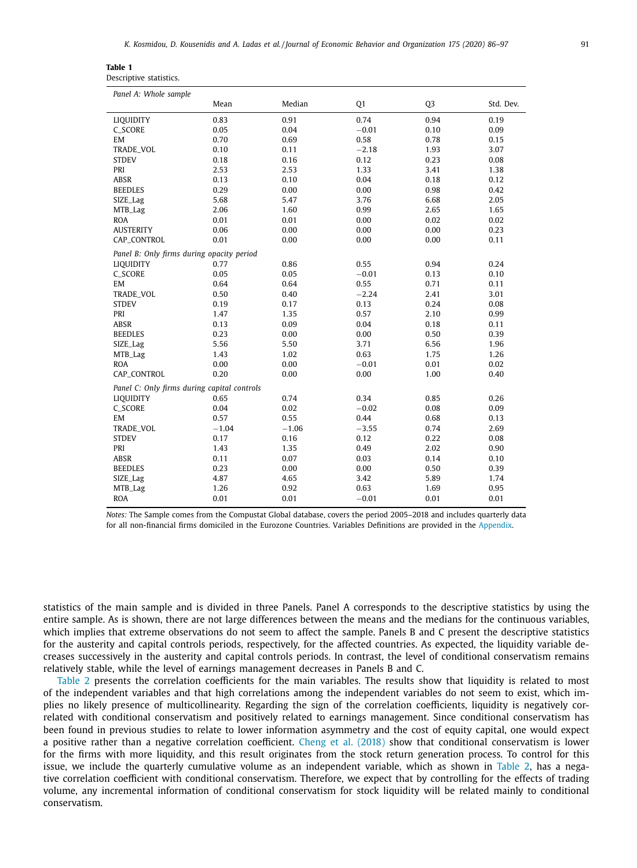<span id="page-5-0"></span>

| Table 1                 |  |
|-------------------------|--|
| Descriptive statistics. |  |

| Panel A: Whole sample                       |         |         |         |                |           |
|---------------------------------------------|---------|---------|---------|----------------|-----------|
|                                             | Mean    | Median  | Q1      | Q <sub>3</sub> | Std. Dev. |
| LIQUIDITY                                   | 0.83    | 0.91    | 0.74    | 0.94           | 0.19      |
| <b>C_SCORE</b>                              | 0.05    | 0.04    | $-0.01$ | 0.10           | 0.09      |
| EM                                          | 0.70    | 0.69    | 0.58    | 0.78           | 0.15      |
| TRADE_VOL                                   | 0.10    | 0.11    | $-2.18$ | 1.93           | 3.07      |
| <b>STDEV</b>                                | 0.18    | 0.16    | 0.12    | 0.23           | 0.08      |
| PRI                                         | 2.53    | 2.53    | 1.33    | 3.41           | 1.38      |
| ABSR                                        | 0.13    | 0.10    | 0.04    | 0.18           | 0.12      |
| <b>BEEDLES</b>                              | 0.29    | 0.00    | 0.00    | 0.98           | 0.42      |
| SIZE_Lag                                    | 5.68    | 5.47    | 3.76    | 6.68           | 2.05      |
| MTB_Lag                                     | 2.06    | 1.60    | 0.99    | 2.65           | 1.65      |
| <b>ROA</b>                                  | 0.01    | 0.01    | 0.00    | 0.02           | 0.02      |
| <b>AUSTERITY</b>                            | 0.06    | 0.00    | 0.00    | 0.00           | 0.23      |
| CAP_CONTROL                                 | 0.01    | 0.00    | 0.00    | 0.00           | 0.11      |
| Panel B: Only firms during opacity period   |         |         |         |                |           |
| <b>LIQUIDITY</b>                            | 0.77    | 0.86    | 0.55    | 0.94           | 0.24      |
| C_SCORE                                     | 0.05    | 0.05    | $-0.01$ | 0.13           | 0.10      |
| EM                                          | 0.64    | 0.64    | 0.55    | 0.71           | 0.11      |
| TRADE_VOL                                   | 0.50    | 0.40    | $-2.24$ | 2.41           | 3.01      |
| <b>STDEV</b>                                | 0.19    | 0.17    | 0.13    | 0.24           | 0.08      |
| PRI                                         | 1.47    | 1.35    | 0.57    | 2.10           | 0.99      |
| <b>ABSR</b>                                 | 0.13    | 0.09    | 0.04    | 0.18           | 0.11      |
| <b>BEEDLES</b>                              | 0.23    | 0.00    | 0.00    | 0.50           | 0.39      |
| SIZE_Lag                                    | 5.56    | 5.50    | 3.71    | 6.56           | 1.96      |
| MTB_Lag                                     | 1.43    | 1.02    | 0.63    | 1.75           | 1.26      |
| <b>ROA</b>                                  | 0.00    | 0.00    | $-0.01$ | 0.01           | 0.02      |
| CAP_CONTROL                                 | 0.20    | 0.00    | 0.00    | 1.00           | 0.40      |
| Panel C: Only firms during capital controls |         |         |         |                |           |
| LIQUIDITY                                   | 0.65    | 0.74    | 0.34    | 0.85           | 0.26      |
| C_SCORE                                     | 0.04    | 0.02    | $-0.02$ | 0.08           | 0.09      |
| EM                                          | 0.57    | 0.55    | 0.44    | 0.68           | 0.13      |
| TRADE_VOL                                   | $-1.04$ | $-1.06$ | $-3.55$ | 0.74           | 2.69      |
| <b>STDEV</b>                                | 0.17    | 0.16    | 0.12    | 0.22           | 0.08      |
| PRI                                         | 1.43    | 1.35    | 0.49    | 2.02           | 0.90      |
| ABSR                                        | 0.11    | 0.07    | 0.03    | 0.14           | 0.10      |
| <b>BEEDLES</b>                              | 0.23    | 0.00    | 0.00    | 0.50           | 0.39      |
| SIZE_Lag                                    | 4.87    | 4.65    | 3.42    | 5.89           | 1.74      |
| MTB_Lag                                     | 1.26    | 0.92    | 0.63    | 1.69           | 0.95      |
| <b>ROA</b>                                  | 0.01    | 0.01    | $-0.01$ | 0.01           | 0.01      |

*Notes:* The Sample comes from the Compustat Global database, covers the period 2005–2018 and includes quarterly data for all non-financial firms domiciled in the Eurozone Countries. Variables Definitions are provided in the [Appendix.](#page-10-0)

statistics of the main sample and is divided in three Panels. Panel A corresponds to the descriptive statistics by using the entire sample. As is shown, there are not large differences between the means and the medians for the continuous variables, which implies that extreme observations do not seem to affect the sample. Panels B and C present the descriptive statistics for the austerity and capital controls periods, respectively, for the affected countries. As expected, the liquidity variable decreases successively in the austerity and capital controls periods. In contrast, the level of conditional conservatism remains relatively stable, while the level of earnings management decreases in Panels B and C.

[Table](#page-6-0) 2 presents the correlation coefficients for the main variables. The results show that liquidity is related to most of the independent variables and that high correlations among the independent variables do not seem to exist, which implies no likely presence of multicollinearity. Regarding the sign of the correlation coefficients, liquidity is negatively correlated with conditional conservatism and positively related to earnings management. Since conditional conservatism has been found in previous studies to relate to lower information asymmetry and the cost of equity capital, one would expect a positive rather than a negative correlation coefficient. Cheng et al. [\(2018\)](#page-10-0) show that conditional conservatism is lower for the firms with more liquidity, and this result originates from the stock return generation process. To control for this issue, we include the quarterly cumulative volume as an independent variable, which as shown in [Table](#page-6-0) 2, has a negative correlation coefficient with conditional conservatism. Therefore, we expect that by controlling for the effects of trading volume, any incremental information of conditional conservatism for stock liquidity will be related mainly to conditional conservatism.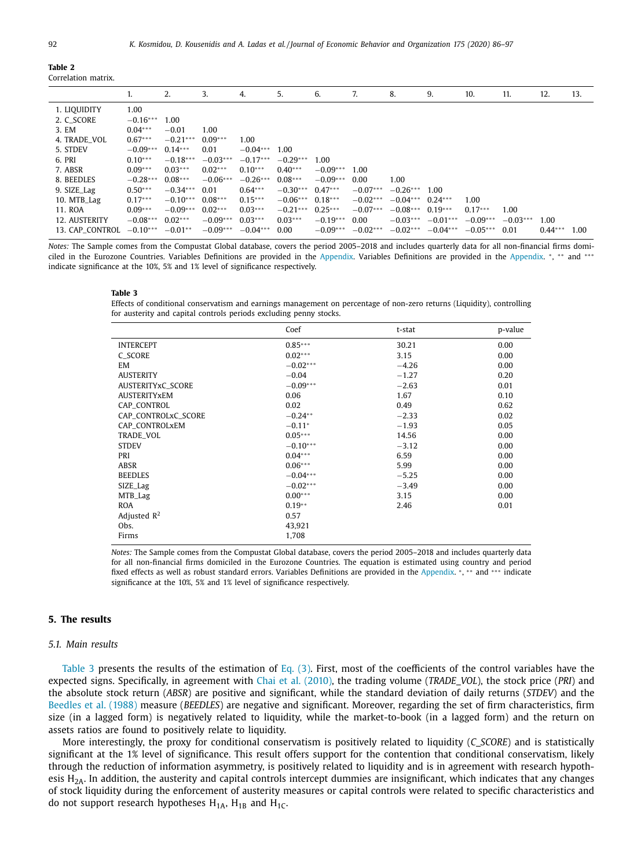<span id="page-6-0"></span>

|                 | 1.         | 2.         | 3.         | 4.         | 5.         | 6.         | 7.         | 8.                 | 9.         | 10.        | 11.        | 12.       | 13.  |
|-----------------|------------|------------|------------|------------|------------|------------|------------|--------------------|------------|------------|------------|-----------|------|
| 1. LIQUIDITY    | 1.00       |            |            |            |            |            |            |                    |            |            |            |           |      |
| 2. C SCORE      | $-0.16***$ | 1.00       |            |            |            |            |            |                    |            |            |            |           |      |
| 3. EM           | $0.04***$  | $-0.01$    | 1.00       |            |            |            |            |                    |            |            |            |           |      |
| 4. TRADE VOL    | $0.67***$  | $-0.21***$ | $0.09***$  | 1.00       |            |            |            |                    |            |            |            |           |      |
| 5. STDEV        | $-0.09***$ | $0.14***$  | 0.01       | $-0.04***$ | 1.00       |            |            |                    |            |            |            |           |      |
| 6. PRI          | $0.10***$  | $-0.18***$ | $-0.03***$ | $-0.17***$ | $-0.29***$ | 1.00       |            |                    |            |            |            |           |      |
| 7. ABSR         | $0.09***$  | $0.03***$  | $0.02***$  | $0.10***$  | $0.40***$  | $-0.09***$ | 1.00       |                    |            |            |            |           |      |
| 8. BEEDLES      | $-0.28***$ | $0.08***$  | $-0.06***$ | $-0.26***$ | $0.08***$  | $-0.09***$ | 0.00       | 1.00               |            |            |            |           |      |
| 9. SIZE_Lag     | $0.50***$  | $-0.34***$ | 0.01       | $0.64***$  | $-0.30***$ | $0.47***$  | $-0.07***$ | $-0.26***$ 1.00    |            |            |            |           |      |
| 10. MTB_Lag     | $0.17***$  | $-0.10***$ | $0.08***$  | $0.15***$  | $-0.06***$ | $0.18***$  | $-0.02***$ | $-0.04***$         | $0.24***$  | 1.00       |            |           |      |
| 11. ROA         | $0.09***$  | $-0.09***$ | $0.02***$  | $0.03***$  | $-0.21***$ | $0.25***$  | $-0.07***$ | $-0.08***$ 0.19*** |            | $0.17***$  | 1.00       |           |      |
| 12. AUSTERITY   | $-0.08***$ | $0.02***$  | $-0.09***$ | $0.03***$  | $0.03***$  | $-0.19***$ | 0.00       | $-0.03***$         | $-0.01***$ | $-0.09***$ | $-0.03***$ | 1.00      |      |
| 13. CAP CONTROL | $-0.10***$ | $-0.01**$  | $-0.09***$ | $-0.04***$ | 0.00       | $-0.09***$ | $-0.02***$ | $-0.02***$         | $-0.04***$ | $-0.05***$ | 0.01       | $0.44***$ | 1.00 |
|                 |            |            |            |            |            |            |            |                    |            |            |            |           |      |

*Notes:* The Sample comes from the Compustat Global database, covers the period 2005–2018 and includes quarterly data for all non-financial firms domiciled in the Eurozone Countries. Variables Definitions are provided in the [Appendix.](#page-10-0) Variables Definitions are provided in the [Appendix.](#page-10-0) <sup>∗</sup>, ∗∗ and ∗∗∗ indicate significance at the 10%, 5% and 1% level of significance respectively.

#### **Table 3**

Effects of conditional conservatism and earnings management on percentage of non-zero returns (Liquidity), controlling for austerity and capital controls periods excluding penny stocks.

|                     | Coef       | t-stat  | p-value |
|---------------------|------------|---------|---------|
| <b>INTERCEPT</b>    | $0.85***$  | 30.21   | 0.00    |
| <b>C_SCORE</b>      | $0.02***$  | 3.15    | 0.00    |
| EM                  | $-0.02***$ | $-4.26$ | 0.00    |
| <b>AUSTERITY</b>    | $-0.04$    | $-1.27$ | 0.20    |
| AUSTERITYxC_SCORE   | $-0.09***$ | $-2.63$ | 0.01    |
| <b>AUSTERITYXEM</b> | 0.06       | 1.67    | 0.10    |
| CAP_CONTROL         | 0.02       | 0.49    | 0.62    |
| CAP_CONTROLxC_SCORE | $-0.24**$  | $-2.33$ | 0.02    |
| CAP_CONTROLxEM      | $-0.11*$   | $-1.93$ | 0.05    |
| TRADE_VOL           | $0.05***$  | 14.56   | 0.00    |
| <b>STDEV</b>        | $-0.10***$ | $-3.12$ | 0.00    |
| PRI                 | $0.04***$  | 6.59    | 0.00    |
| ABSR                | $0.06***$  | 5.99    | 0.00    |
| <b>BEEDLES</b>      | $-0.04***$ | $-5.25$ | 0.00    |
| SIZE_Lag            | $-0.02***$ | $-3.49$ | 0.00    |
| MTB_Lag             | $0.00***$  | 3.15    | 0.00    |
| <b>ROA</b>          | $0.19**$   | 2.46    | 0.01    |
| Adjusted $R^2$      | 0.57       |         |         |
| Obs.                | 43,921     |         |         |
| Firms               | 1,708      |         |         |

*Notes:* The Sample comes from the Compustat Global database, covers the period 2005–2018 and includes quarterly data for all non-financial firms domiciled in the Eurozone Countries. The equation is estimated using country and period fixed effects as well as robust standard errors. Variables Definitions are provided in the [Appendix.](#page-10-0) \*, \*\* and \*\*\* indicate significance at the 10%, 5% and 1% level of significance respectively.

# **5. The results**

#### *5.1. Main results*

Table 3 presents the results of the estimation of Eq.  $(3)$ . First, most of the coefficients of the control variables have the expected signs. Specifically, in agreement with Chai et al. [\(2010\),](#page-10-0) the trading volume (*TRADE\_VOL*), the stock price (*PRI*) and the absolute stock return (*ABSR*) are positive and significant, while the standard deviation of daily returns (*STDEV*) and the [Beedles](#page-10-0) et al. (1988) measure (*BEEDLES*) are negative and significant. Moreover, regarding the set of firm characteristics, firm size (in a lagged form) is negatively related to liquidity, while the market-to-book (in a lagged form) and the return on assets ratios are found to positively relate to liquidity.

More interestingly, the proxy for conditional conservatism is positively related to liquidity (*C\_SCORE*) and is statistically significant at the 1% level of significance. This result offers support for the contention that conditional conservatism, likely through the reduction of information asymmetry, is positively related to liquidity and is in agreement with research hypothesis  $H<sub>2A</sub>$ . In addition, the austerity and capital controls intercept dummies are insignificant, which indicates that any changes of stock liquidity during the enforcement of austerity measures or capital controls were related to specific characteristics and do not support research hypotheses  $H_{1A}$ ,  $H_{1B}$  and  $H_{1C}$ .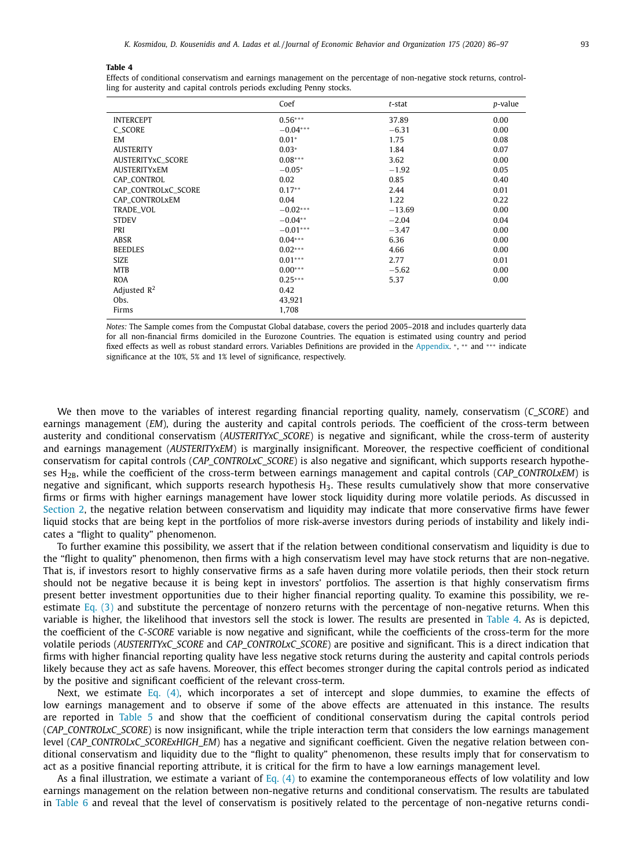#### **Table 4**

Effects of conditional conservatism and earnings management on the percentage of non-negative stock returns, controlling for austerity and capital controls periods excluding Penny stocks.

|                            | Coef       | $t$ -stat | p-value |
|----------------------------|------------|-----------|---------|
| <b>INTERCEPT</b>           | $0.56***$  | 37.89     | 0.00    |
| C_SCORE                    | $-0.04***$ | $-6.31$   | 0.00    |
| EM                         | $0.01*$    | 1.75      | 0.08    |
| <b>AUSTERITY</b>           | $0.03*$    | 1.84      | 0.07    |
| AUSTERITYxC_SCORE          | $0.08***$  | 3.62      | 0.00    |
| <b>AUSTERITYXEM</b>        | $-0.05*$   | $-1.92$   | 0.05    |
| <b>CAP CONTROL</b>         | 0.02       | 0.85      | 0.40    |
| <b>CAP CONTROLXC SCORE</b> | $0.17**$   | 2.44      | 0.01    |
| CAP_CONTROLxEM             | 0.04       | 1.22      | 0.22    |
| TRADE_VOL                  | $-0.02***$ | $-13.69$  | 0.00    |
| <b>STDEV</b>               | $-0.04**$  | $-2.04$   | 0.04    |
| PRI                        | $-0.01***$ | $-3.47$   | 0.00    |
| ABSR                       | $0.04***$  | 6.36      | 0.00    |
| <b>BEEDLES</b>             | $0.02***$  | 4.66      | 0.00    |
| <b>SIZE</b>                | $0.01***$  | 2.77      | 0.01    |
| <b>MTB</b>                 | $0.00***$  | $-5.62$   | 0.00    |
| <b>ROA</b>                 | $0.25***$  | 5.37      | 0.00    |
| Adjusted $R^2$             | 0.42       |           |         |
| Obs.                       | 43,921     |           |         |
| Firms                      | 1,708      |           |         |

*Notes:* The Sample comes from the Compustat Global database, covers the period 2005–2018 and includes quarterly data for all non-financial firms domiciled in the Eurozone Countries. The equation is estimated using country and period fixed effects as well as robust standard errors. Variables Definitions are provided in the [Appendix.](#page-10-0) <sup>∗</sup>, ∗∗ and ∗∗∗ indicate significance at the 10%, 5% and 1% level of significance, respectively.

We then move to the variables of interest regarding financial reporting quality, namely, conservatism (*C\_SCORE*) and earnings management (*EM*), during the austerity and capital controls periods. The coefficient of the cross-term between austerity and conditional conservatism (*AUSTERITYxC\_SCORE*) is negative and significant, while the cross-term of austerity and earnings management (*AUSTERITYxEM*) is marginally insignificant. Moreover, the respective coefficient of conditional conservatism for capital controls (*CAP\_CONTROLxC\_SCORE*) is also negative and significant, which supports research hypotheses H2B, while the coefficient of the cross-term between earnings management and capital controls (*CAP\_CONTROLxEM*) is negative and significant, which supports research hypothesis H<sub>3</sub>. These results cumulatively show that more conservative firms or firms with higher earnings management have lower stock liquidity during more volatile periods. As discussed in [Section](#page-2-0) 2, the negative relation between conservatism and liquidity may indicate that more conservative firms have fewer liquid stocks that are being kept in the portfolios of more risk-averse investors during periods of instability and likely indicates a "flight to quality" phenomenon.

To further examine this possibility, we assert that if the relation between conditional conservatism and liquidity is due to the "flight to quality" phenomenon, then firms with a high conservatism level may have stock returns that are non-negative. That is, if investors resort to highly conservative firms as a safe haven during more volatile periods, then their stock return should not be negative because it is being kept in investors' portfolios. The assertion is that highly conservatism firms present better investment opportunities due to their higher financial reporting quality. To examine this possibility, we re-estimate [Eq.](#page-4-0)  $(3)$  and substitute the percentage of nonzero returns with the percentage of non-negative returns. When this variable is higher, the likelihood that investors sell the stock is lower. The results are presented in Table 4. As is depicted, the coefficient of the *C-SCORE* variable is now negative and significant, while the coefficients of the cross-term for the more volatile periods (*AUSTERITYxC\_SCORE* and *CAP\_CONTROLxC\_SCORE*) are positive and significant. This is a direct indication that firms with higher financial reporting quality have less negative stock returns during the austerity and capital controls periods likely because they act as safe havens. Moreover, this effect becomes stronger during the capital controls period as indicated by the positive and significant coefficient of the relevant cross-term.

Next, we estimate Eq. [\(4\),](#page-4-0) which incorporates a set of intercept and slope dummies, to examine the effects of low earnings management and to observe if some of the above effects are attenuated in this instance. The results are reported in [Table](#page-8-0) 5 and show that the coefficient of conditional conservatism during the capital controls period (*CAP\_CONTROLxC\_SCORE*) is now insignificant, while the triple interaction term that considers the low earnings management level (*CAP\_CONTROLxC\_SCORExHIGH\_EM*) has a negative and significant coefficient. Given the negative relation between conditional conservatism and liquidity due to the "flight to quality" phenomenon, these results imply that for conservatism to act as a positive financial reporting attribute, it is critical for the firm to have a low earnings management level.

As a final illustration, we estimate a variant of [Eq.](#page-4-0)  $(4)$  to examine the contemporaneous effects of low volatility and low earnings management on the relation between non-negative returns and conditional conservatism. The results are tabulated in [Table](#page-8-0) 6 and reveal that the level of conservatism is positively related to the percentage of non-negative returns condi-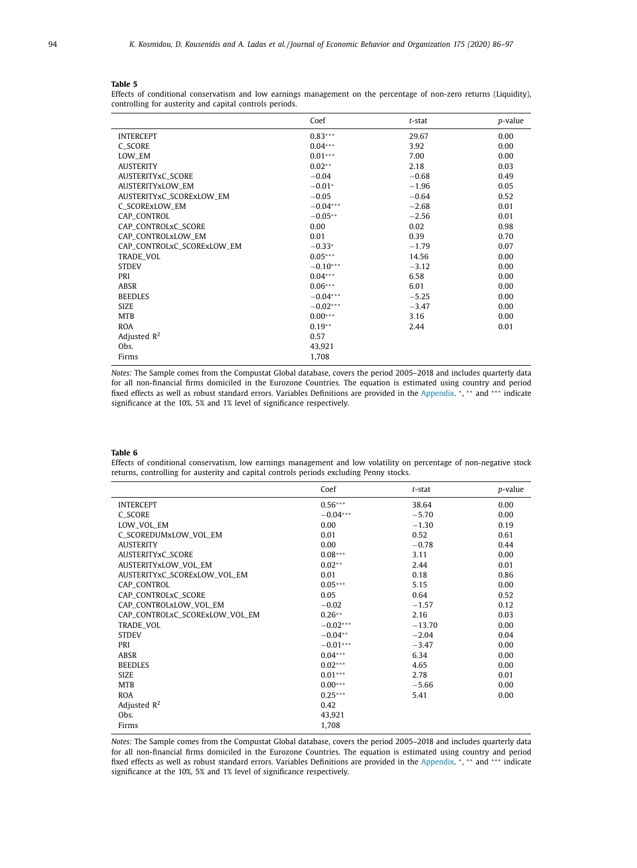# <span id="page-8-0"></span>**Table 5**

 $\overline{a}$ 

Effects of conditional conservatism and low earnings management on the percentage of non-zero returns (Liquidity), controlling for austerity and capital controls periods.

|                            | Coef       | $t$ -stat | p-value |
|----------------------------|------------|-----------|---------|
| <b>INTERCEPT</b>           | $0.83***$  | 29.67     | 0.00    |
| C SCORE                    | $0.04***$  | 3.92      | 0.00    |
| LOW EM                     | $0.01***$  | 7.00      | 0.00    |
| <b>AUSTERITY</b>           | $0.02**$   | 2.18      | 0.03    |
| AUSTERITYxC_SCORE          | $-0.04$    | $-0.68$   | 0.49    |
| <b>AUSTERITYXLOW EM</b>    | $-0.01*$   | $-1.96$   | 0.05    |
| AUSTERITYxC_SCORExLOW_EM   | $-0.05$    | $-0.64$   | 0.52    |
| C_SCORExLOW_EM             | $-0.04***$ | $-2.68$   | 0.01    |
| CAP_CONTROL                | $-0.05**$  | $-2.56$   | 0.01    |
| CAP_CONTROLxC_SCORE        | 0.00       | 0.02      | 0.98    |
| CAP_CONTROLxLOW_EM         | 0.01       | 0.39      | 0.70    |
| CAP_CONTROLxC_SCORExLOW_EM | $-0.33*$   | $-1.79$   | 0.07    |
| TRADE_VOL                  | $0.05***$  | 14.56     | 0.00    |
| <b>STDEV</b>               | $-0.10***$ | $-3.12$   | 0.00    |
| PRI                        | $0.04***$  | 6.58      | 0.00    |
| ABSR                       | $0.06***$  | 6.01      | 0.00    |
| <b>BEEDLES</b>             | $-0.04***$ | $-5.25$   | 0.00    |
| <b>SIZE</b>                | $-0.02***$ | $-3.47$   | 0.00    |
| <b>MTB</b>                 | $0.00***$  | 3.16      | 0.00    |
| <b>ROA</b>                 | $0.19**$   | 2.44      | 0.01    |
| Adjusted $R^2$             | 0.57       |           |         |
| Obs.                       | 43,921     |           |         |
| Firms                      | 1,708      |           |         |

*Notes:* The Sample comes from the Compustat Global database, covers the period 2005–2018 and includes quarterly data for all non-financial firms domiciled in the Eurozone Countries. The equation is estimated using country and period fixed effects as well as robust standard errors. Variables Definitions are provided in the [Appendix.](#page-10-0) \*, \*\* and \*\*\* indicate significance at the 10%, 5% and 1% level of significance respectively.

#### **Table 6**

í.

Effects of conditional conservatism, low earnings management and low volatility on percentage of non-negative stock returns, controlling for austerity and capital controls periods excluding Penny stocks.

|                                | Coef       | $t$ -stat | p-value |
|--------------------------------|------------|-----------|---------|
| <b>INTERCEPT</b>               | $0.56***$  | 38.64     | 0.00    |
| C SCORE                        | $-0.04***$ | $-5.70$   | 0.00    |
| LOW_VOL_EM                     | 0.00       | $-1.30$   | 0.19    |
| C_SCOREDUMxLOW_VOL_EM          | 0.01       | 0.52      | 0.61    |
| <b>AUSTERITY</b>               | 0.00       | $-0.78$   | 0.44    |
| AUSTERITYxC_SCORE              | $0.08***$  | 3.11      | 0.00    |
| AUSTERITYxLOW_VOL_EM           | $0.02**$   | 2.44      | 0.01    |
| AUSTERITYxC_SCORExLOW_VOL_EM   | 0.01       | 0.18      | 0.86    |
| CAP_CONTROL                    | $0.05***$  | 5.15      | 0.00    |
| CAP CONTROLxC SCORE            | 0.05       | 0.64      | 0.52    |
| CAP_CONTROLxLOW_VOL_EM         | $-0.02$    | $-1.57$   | 0.12    |
| CAP_CONTROLxC_SCORExLOW_VOL_EM | $0.26**$   | 2.16      | 0.03    |
| <b>TRADE VOL</b>               | $-0.02***$ | $-13.70$  | 0.00    |
| <b>STDEV</b>                   | $-0.04**$  | $-2.04$   | 0.04    |
| PRI                            | $-0.01***$ | $-3.47$   | 0.00    |
| <b>ABSR</b>                    | $0.04***$  | 6.34      | 0.00    |
| <b>BEEDLES</b>                 | $0.02***$  | 4.65      | 0.00    |
| <b>SIZE</b>                    | $0.01***$  | 2.78      | 0.01    |
| <b>MTB</b>                     | $0.00***$  | $-5.66$   | 0.00    |
| <b>ROA</b>                     | $0.25***$  | 5.41      | 0.00    |
| Adjusted $R^2$                 | 0.42       |           |         |
| Obs.                           | 43,921     |           |         |
| Firms                          | 1,708      |           |         |

*Notes:* The Sample comes from the Compustat Global database, covers the period 2005–2018 and includes quarterly data for all non-financial firms domiciled in the Eurozone Countries. The equation is estimated using country and period fixed effects as well as robust standard errors. Variables Definitions are provided in the [Appendix.](#page-10-0) <sup>∗</sup>, ∗∗ and ∗∗∗ indicate significance at the 10%, 5% and 1% level of significance respectively.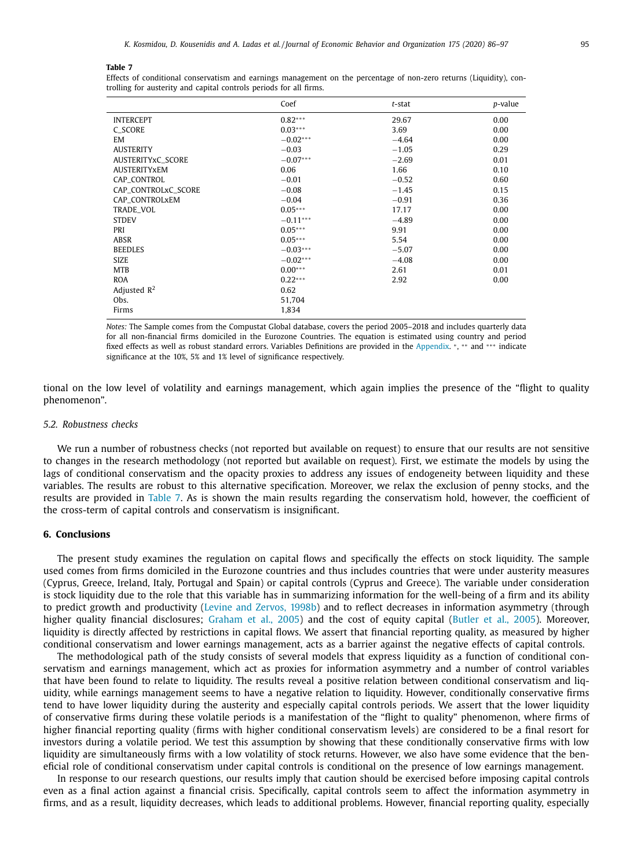#### <span id="page-9-0"></span>**Table 7**

Effects of conditional conservatism and earnings management on the percentage of non-zero returns (Liquidity), controlling for austerity and capital controls periods for all firms.

|                     | Coef       | $t$ -stat | p-value |
|---------------------|------------|-----------|---------|
| <b>INTERCEPT</b>    | $0.82***$  | 29.67     | 0.00    |
| C SCORE             | $0.03***$  | 3.69      | 0.00    |
| EM                  | $-0.02***$ | $-4.64$   | 0.00    |
| <b>AUSTERITY</b>    | $-0.03$    | $-1.05$   | 0.29    |
| AUSTERITYxC_SCORE   | $-0.07***$ | $-2.69$   | 0.01    |
| <b>AUSTERITYXEM</b> | 0.06       | 1.66      | 0.10    |
| CAP_CONTROL         | $-0.01$    | $-0.52$   | 0.60    |
| CAP_CONTROLxC_SCORE | $-0.08$    | $-1.45$   | 0.15    |
| CAP_CONTROLxEM      | $-0.04$    | $-0.91$   | 0.36    |
| TRADE_VOL           | $0.05***$  | 17.17     | 0.00    |
| <b>STDEV</b>        | $-0.11***$ | $-4.89$   | 0.00    |
| PRI                 | $0.05***$  | 9.91      | 0.00    |
| ABSR                | $0.05***$  | 5.54      | 0.00    |
| <b>BEEDLES</b>      | $-0.03***$ | $-5.07$   | 0.00    |
| <b>SIZE</b>         | $-0.02***$ | $-4.08$   | 0.00    |
| <b>MTB</b>          | $0.00***$  | 2.61      | 0.01    |
| <b>ROA</b>          | $0.22***$  | 2.92      | 0.00    |
| Adjusted $R^2$      | 0.62       |           |         |
| Obs.                | 51,704     |           |         |
| Firms               | 1,834      |           |         |

*Notes:* The Sample comes from the Compustat Global database, covers the period 2005–2018 and includes quarterly data for all non-financial firms domiciled in the Eurozone Countries. The equation is estimated using country and period fixed effects as well as robust standard errors. Variables Definitions are provided in the [Appendix.](#page-10-0) <sup>∗</sup>, ∗∗ and ∗∗∗ indicate significance at the 10%, 5% and 1% level of significance respectively.

tional on the low level of volatility and earnings management, which again implies the presence of the "flight to quality phenomenon".

#### *5.2. Robustness checks*

We run a number of robustness checks (not reported but available on request) to ensure that our results are not sensitive to changes in the research methodology (not reported but available on request). First, we estimate the models by using the lags of conditional conservatism and the opacity proxies to address any issues of endogeneity between liquidity and these variables. The results are robust to this alternative specification. Moreover, we relax the exclusion of penny stocks, and the results are provided in Table 7. As is shown the main results regarding the conservatism hold, however, the coefficient of the cross-term of capital controls and conservatism is insignificant.

### **6. Conclusions**

The present study examines the regulation on capital flows and specifically the effects on stock liquidity. The sample used comes from firms domiciled in the Eurozone countries and thus includes countries that were under austerity measures (Cyprus, Greece, Ireland, Italy, Portugal and Spain) or capital controls (Cyprus and Greece). The variable under consideration is stock liquidity due to the role that this variable has in summarizing information for the well-being of a firm and its ability to predict growth and productivity (Levine and [Zervos,](#page-11-0) 1998b) and to reflect decreases in information asymmetry (through higher quality financial disclosures; [Graham](#page-10-0) et al., 2005) and the cost of equity capital [\(Butler](#page-10-0) et al., 2005). Moreover, liquidity is directly affected by restrictions in capital flows. We assert that financial reporting quality, as measured by higher conditional conservatism and lower earnings management, acts as a barrier against the negative effects of capital controls.

The methodological path of the study consists of several models that express liquidity as a function of conditional conservatism and earnings management, which act as proxies for information asymmetry and a number of control variables that have been found to relate to liquidity. The results reveal a positive relation between conditional conservatism and liquidity, while earnings management seems to have a negative relation to liquidity. However, conditionally conservative firms tend to have lower liquidity during the austerity and especially capital controls periods. We assert that the lower liquidity of conservative firms during these volatile periods is a manifestation of the "flight to quality" phenomenon, where firms of higher financial reporting quality (firms with higher conditional conservatism levels) are considered to be a final resort for investors during a volatile period. We test this assumption by showing that these conditionally conservative firms with low liquidity are simultaneously firms with a low volatility of stock returns. However, we also have some evidence that the beneficial role of conditional conservatism under capital controls is conditional on the presence of low earnings management.

In response to our research questions, our results imply that caution should be exercised before imposing capital controls even as a final action against a financial crisis. Specifically, capital controls seem to affect the information asymmetry in firms, and as a result, liquidity decreases, which leads to additional problems. However, financial reporting quality, especially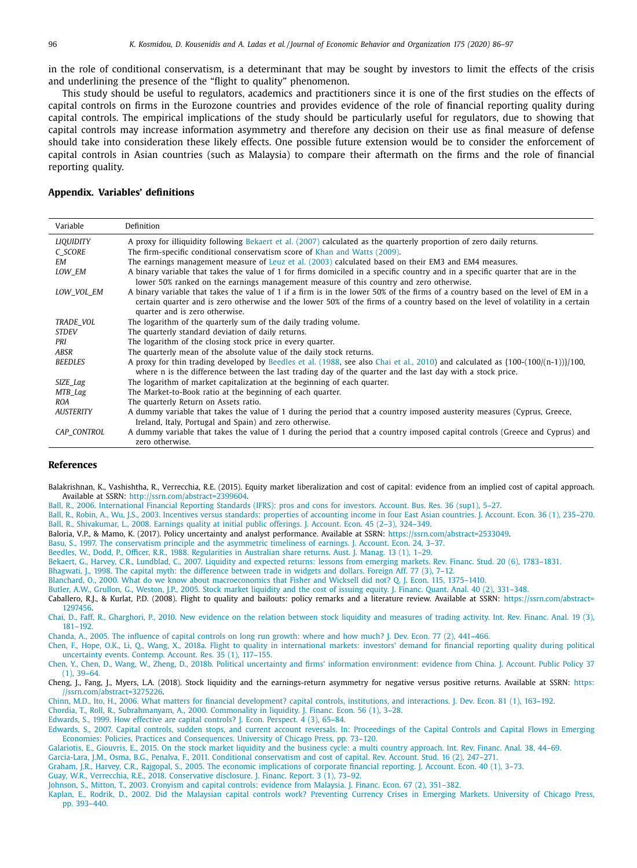<span id="page-10-0"></span>in the role of conditional conservatism, is a determinant that may be sought by investors to limit the effects of the crisis and underlining the presence of the "flight to quality" phenomenon.

This study should be useful to regulators, academics and practitioners since it is one of the first studies on the effects of capital controls on firms in the Eurozone countries and provides evidence of the role of financial reporting quality during capital controls. The empirical implications of the study should be particularly useful for regulators, due to showing that capital controls may increase information asymmetry and therefore any decision on their use as final measure of defense should take into consideration these likely effects. One possible future extension would be to consider the enforcement of capital controls in Asian countries (such as Malaysia) to compare their aftermath on the firms and the role of financial reporting quality.

#### **Appendix. Variables' definitions**

| Variable         | Definition                                                                                                                                                                                                                                                                                             |
|------------------|--------------------------------------------------------------------------------------------------------------------------------------------------------------------------------------------------------------------------------------------------------------------------------------------------------|
| <b>LIQUIDITY</b> | A proxy for illiquidity following Bekaert et al. (2007) calculated as the quarterly proportion of zero daily returns.                                                                                                                                                                                  |
| C SCORE          | The firm-specific conditional conservatism score of Khan and Watts (2009).                                                                                                                                                                                                                             |
| <b>EM</b>        | The earnings management measure of Leuz et al. (2003) calculated based on their EM3 and EM4 measures.                                                                                                                                                                                                  |
| LOW EM           | A binary variable that takes the value of 1 for firms domiciled in a specific country and in a specific quarter that are in the<br>lower 50% ranked on the earnings management measure of this country and zero otherwise.                                                                             |
| LOW VOL EM       | A binary variable that takes the value of 1 if a firm is in the lower 50% of the firms of a country based on the level of EM in a<br>certain quarter and is zero otherwise and the lower 50% of the firms of a country based on the level of volatility in a certain<br>quarter and is zero otherwise. |
| TRADE VOL        | The logarithm of the quarterly sum of the daily trading volume.                                                                                                                                                                                                                                        |
| <b>STDEV</b>     | The quarterly standard deviation of daily returns.                                                                                                                                                                                                                                                     |
| PRI              | The logarithm of the closing stock price in every quarter.                                                                                                                                                                                                                                             |
| ABSR             | The quarterly mean of the absolute value of the daily stock returns.                                                                                                                                                                                                                                   |
| <b>BEEDLES</b>   | A proxy for thin trading developed by Beedles et al. (1988, see also Chai et al., 2010) and calculated as $\{100-(100/(n-1))\}/100$ ,<br>where n is the difference between the last trading day of the quarter and the last day with a stock price.                                                    |
| SIZE_Lag         | The logarithm of market capitalization at the beginning of each quarter.                                                                                                                                                                                                                               |
| MTB_Lag          | The Market-to-Book ratio at the beginning of each quarter.                                                                                                                                                                                                                                             |
| ROA              | The quarterly Return on Assets ratio.                                                                                                                                                                                                                                                                  |
| <b>AUSTERITY</b> | A dummy variable that takes the value of 1 during the period that a country imposed austerity measures (Cyprus, Greece,<br>Ireland, Italy, Portugal and Spain) and zero otherwise.                                                                                                                     |
| CAP CONTROL      | A dummy variable that takes the value of 1 during the period that a country imposed capital controls (Greece and Cyprus) and<br>zero otherwise.                                                                                                                                                        |

# **References**

Balakrishnan, K., Vashishtha, R., Verrecchia, R.E. (2015). Equity market liberalization and cost of capital: evidence from an implied cost of capital approach. Available at SSRN: [http://ssrn.com/abstract=2399604.](http://ssrn.com/abstract=2399604)

[Ball,](http://refhub.elsevier.com/S0167-2681(20)30120-7/sbref0001) R., 2006. [International](http://refhub.elsevier.com/S0167-2681(20)30120-7/sbref0001) Financial Reporting Standards (IFRS): pros and cons for investors. Account. Bus. Res. 36 (sup1), 5–27.

[Ball,](http://refhub.elsevier.com/S0167-2681(20)30120-7/sbref0002) R., [Robin,](http://refhub.elsevier.com/S0167-2681(20)30120-7/sbref0002) A., [Wu,](http://refhub.elsevier.com/S0167-2681(20)30120-7/sbref0002) J.S., 2003. Incentives versus standards: properties of [accounting](http://refhub.elsevier.com/S0167-2681(20)30120-7/sbref0002) income in four East Asian countries. J. Account. Econ. 36 (1), 235-270. [Ball,](http://refhub.elsevier.com/S0167-2681(20)30120-7/sbref0003) R., [Shivakumar,](http://refhub.elsevier.com/S0167-2681(20)30120-7/sbref0003) L., 2008. Earnings quality at initial public [offerings.](http://refhub.elsevier.com/S0167-2681(20)30120-7/sbref0003) J. Account. Econ. 45 (2–3), 324–349.

Baloria, V.P., & Mamo, K. (2017). Policy uncertainty and analyst performance. Available at SSRN: [https://ssrn.com/abstract=2533049.](https://ssrn.com/abstract=2533049)

[Basu,](http://refhub.elsevier.com/S0167-2681(20)30120-7/sbref0004) S., 1997. The [conservatism](http://refhub.elsevier.com/S0167-2681(20)30120-7/sbref0004) principle and the asymmetric timeliness of earnings. J. Account. Econ. 24, 3–37.

[Beedles,](http://refhub.elsevier.com/S0167-2681(20)30120-7/sbref0005) W., [Dodd,](http://refhub.elsevier.com/S0167-2681(20)30120-7/sbref0005) P., [Officer,](http://refhub.elsevier.com/S0167-2681(20)30120-7/sbref0005) R.R., 1988. [Regularities](http://refhub.elsevier.com/S0167-2681(20)30120-7/sbref0005) in Australian share returns. Aust. J. Manag. 13 (1), 1–29.

[Bekaert,](http://refhub.elsevier.com/S0167-2681(20)30120-7/sbref0006) G., [Harvey,](http://refhub.elsevier.com/S0167-2681(20)30120-7/sbref0006) C.R., [Lundblad,](http://refhub.elsevier.com/S0167-2681(20)30120-7/sbref0006) C., 2007. Liquidity and expected returns: lessons from emerging markets. Rev. Financ. Stud. 20 (6), [1783–1831.](http://refhub.elsevier.com/S0167-2681(20)30120-7/sbref0006)

[Bhagwati,](http://refhub.elsevier.com/S0167-2681(20)30120-7/sbref0007) J., 1998. The capital myth: the [difference](http://refhub.elsevier.com/S0167-2681(20)30120-7/sbref0007) between trade in widgets and dollars. Foreign Aff. 77 (3), 7-12.

[Blanchard,](http://refhub.elsevier.com/S0167-2681(20)30120-7/sbref0008) O., 2000. What do we know about [macroeconomics](http://refhub.elsevier.com/S0167-2681(20)30120-7/sbref0008) that Fisher and Wicksell did not? Q. J. Econ. 115, 1375–1410.

[Butler,](http://refhub.elsevier.com/S0167-2681(20)30120-7/sbref0009) A.W., [Grullon,](http://refhub.elsevier.com/S0167-2681(20)30120-7/sbref0009) G., [Weston,](http://refhub.elsevier.com/S0167-2681(20)30120-7/sbref0009) J.P., 2005. Stock market liquidity and the cost of issuing equity. J. Financ. Quant. Anal. 40 (2), [331–348.](http://refhub.elsevier.com/S0167-2681(20)30120-7/sbref0009)

Caballero, R.J., & Kurlat, P.D. (2008). Flight to quality and bailouts: policy remarks and a literature review. Available at SSRN: [https://ssrn.com/abstract=](https://ssrn.com/abstract=1297456) 1297456.

[Chai,](http://refhub.elsevier.com/S0167-2681(20)30120-7/sbref0010) D., [Faff,](http://refhub.elsevier.com/S0167-2681(20)30120-7/sbref0010) R., [Gharghori,](http://refhub.elsevier.com/S0167-2681(20)30120-7/sbref0010) P., 2010. New evidence on the relation between stock liquidity and measures of trading activity. Int. Rev. Financ. Anal. 19 (3), 181–192.

[Chanda,](http://refhub.elsevier.com/S0167-2681(20)30120-7/sbref0011) A., 2005. The [influence](http://refhub.elsevier.com/S0167-2681(20)30120-7/sbref0011) of capital controls on long run growth: where and how much? J. Dev. Econ. 77 (2), 441–466.

[Chen,](http://refhub.elsevier.com/S0167-2681(20)30120-7/sbref0012) F., [Hope,](http://refhub.elsevier.com/S0167-2681(20)30120-7/sbref0012) O.K., Li, [Q.,](http://refhub.elsevier.com/S0167-2681(20)30120-7/sbref0012) [Wang,](http://refhub.elsevier.com/S0167-2681(20)30120-7/sbref0012) X., 2018a. Flight to quality in [international](http://refhub.elsevier.com/S0167-2681(20)30120-7/sbref0012) markets: investors' demand for financial reporting quality during political uncertainty events. Contemp. Account. Res. 35 (1), 117–155.

[Chen,](http://refhub.elsevier.com/S0167-2681(20)30120-7/sbref0013) Y., [Chen,](http://refhub.elsevier.com/S0167-2681(20)30120-7/sbref0013) D., [Wang,](http://refhub.elsevier.com/S0167-2681(20)30120-7/sbref0013) W., [Zheng,](http://refhub.elsevier.com/S0167-2681(20)30120-7/sbref0013) D., 2018b. Political uncertainty and firms' information [environment:](http://refhub.elsevier.com/S0167-2681(20)30120-7/sbref0013) evidence from China. J. Account. Public Policy 37 (1), 39–64.

Cheng, J., Fang, J., Myers, L.A. (2018). Stock liquidity and the earnings-return asymmetry for negative versus positive returns. Available at SSRN: https: [//ssrn.com/abstract=3275226.](https://ssrn.com/abstract=3275226)

[Chinn,](http://refhub.elsevier.com/S0167-2681(20)30120-7/sbref0014) M.D., [Ito,](http://refhub.elsevier.com/S0167-2681(20)30120-7/sbref0014) H., 2006. What matters for financial [development?](http://refhub.elsevier.com/S0167-2681(20)30120-7/sbref0014) capital controls, institutions, and interactions. J. Dev. Econ. 81 (1), 163–192.

[Chordia,](http://refhub.elsevier.com/S0167-2681(20)30120-7/sbref0015) T., [Roll,](http://refhub.elsevier.com/S0167-2681(20)30120-7/sbref0015) R., [Subrahmanyam,](http://refhub.elsevier.com/S0167-2681(20)30120-7/sbref0015) A., 2000. [Commonality](http://refhub.elsevier.com/S0167-2681(20)30120-7/sbref0015) in liquidity. J. Financ. Econ. 56 (1), 3–28.

[Edwards,](http://refhub.elsevier.com/S0167-2681(20)30120-7/sbref0016) S., 1999. How effective are capital [controls?](http://refhub.elsevier.com/S0167-2681(20)30120-7/sbref0016) J. Econ. Perspect. 4 (3), 65–84.

[Edwards,](http://refhub.elsevier.com/S0167-2681(20)30120-7/sbref0017) S., 2007. Capital controls, sudden stops, and current account reversals. In: Proceedings of the Capital Controls and Capital Flows in Emerging Economies: Policies, Practices and [Consequences.](http://refhub.elsevier.com/S0167-2681(20)30120-7/sbref0017) University of Chicago Press, pp. 73–120. [Galariotis,](http://refhub.elsevier.com/S0167-2681(20)30120-7/sbref0018) E., [Giouvris,](http://refhub.elsevier.com/S0167-2681(20)30120-7/sbref0018) E., 2015. On the stock market liquidity and the business cycle: a multi country [approach.](http://refhub.elsevier.com/S0167-2681(20)30120-7/sbref0018) Int. Rev. Financ. Anal. 38, 44–69.

[Garcia-Lara,](http://refhub.elsevier.com/S0167-2681(20)30120-7/sbref0019) J.M., [Osma,](http://refhub.elsevier.com/S0167-2681(20)30120-7/sbref0019) B.G., [Penalva,](http://refhub.elsevier.com/S0167-2681(20)30120-7/sbref0019) F., 2011. Conditional [conservatism](http://refhub.elsevier.com/S0167-2681(20)30120-7/sbref0019) and cost of capital. Rev. Account. Stud. 16 (2), 247–271.

[Graham,](http://refhub.elsevier.com/S0167-2681(20)30120-7/sbref0020) J.R., [Harvey,](http://refhub.elsevier.com/S0167-2681(20)30120-7/sbref0020) C.R., [Rajgopal,](http://refhub.elsevier.com/S0167-2681(20)30120-7/sbref0020) S., 2005. The economic [implications](http://refhub.elsevier.com/S0167-2681(20)30120-7/sbref0020) of corporate financial reporting. J. Account. Econ. 40 (1), 3–73.

[Guay,](http://refhub.elsevier.com/S0167-2681(20)30120-7/sbref0021) W.R., [Verrecchia,](http://refhub.elsevier.com/S0167-2681(20)30120-7/sbref0021) R.E., 2018. [Conservative](http://refhub.elsevier.com/S0167-2681(20)30120-7/sbref0021) disclosure. J. Financ. Report. 3 (1), 73–92.

[Johnson,](http://refhub.elsevier.com/S0167-2681(20)30120-7/sbref0022) S., [Mitton,](http://refhub.elsevier.com/S0167-2681(20)30120-7/sbref0022) T., 2003. [Cronyism](http://refhub.elsevier.com/S0167-2681(20)30120-7/sbref0022) and capital controls: evidence from Malaysia. J. Financ. Econ. 67 (2), 351–382.

[Kaplan,](http://refhub.elsevier.com/S0167-2681(20)30120-7/sbref0023) E., [Rodrik,](http://refhub.elsevier.com/S0167-2681(20)30120-7/sbref0023) D., 2002. Did the Malaysian capital controls work? [Preventing](http://refhub.elsevier.com/S0167-2681(20)30120-7/sbref0023) Currency Crises in Emerging Markets. University of Chicago Press, pp. 393–440.